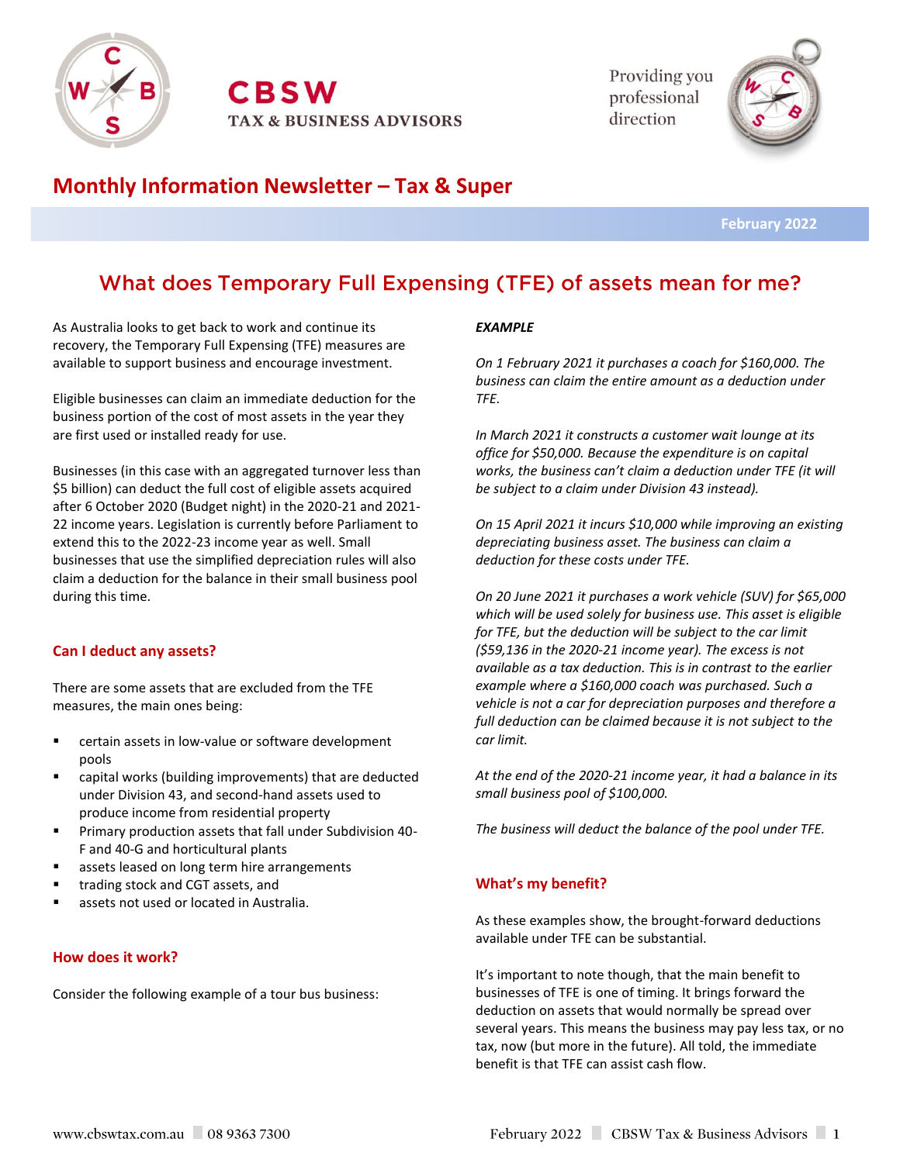

**CBSW TAX & BUSINESS ADVISORS**  Providing you professional direction



# **Monthly Information Newsletter – Tax & Super**

 **February 2022**

# What does Temporary Full Expensing (TFE) of assets mean for me?

As Australia looks to get back to work and continue its recovery, the Temporary Full Expensing (TFE) measures are available to support business and encourage investment.

Eligible businesses can claim an immediate deduction for the business portion of the cost of most assets in the year they are first used or installed ready for use.

Businesses (in this case with an aggregated turnover less than \$5 billion) can deduct the full cost of eligible assets acquired after 6 October 2020 (Budget night) in the 2020-21 and 2021- 22 income years. Legislation is currently before Parliament to extend this to the 2022-23 income year as well. Small businesses that use the simplified depreciation rules will also claim a deduction for the balance in their small business pool during this time.

## **Can I deduct any assets?**

There are some assets that are excluded from the TFE measures, the main ones being:

- certain assets in low-value or software development pools
- capital works (building improvements) that are deducted under Division 43, and second-hand assets used to produce income from residential property
- Primary production assets that fall under Subdivision 40-F and 40-G and horticultural plants
- assets leased on long term hire arrangements
- trading stock and CGT assets, and
- assets not used or located in Australia.

#### **How does it work?**

Consider the following example of a tour bus business:

#### *EXAMPLE*

*On 1 February 2021 it purchases a coach for \$160,000. The business can claim the entire amount as a deduction under TFE.*

*In March 2021 it constructs a customer wait lounge at its office for \$50,000. Because the expenditure is on capital works, the business can't claim a deduction under TFE (it will be subject to a claim under Division 43 instead).*

*On 15 April 2021 it incurs \$10,000 while improving an existing depreciating business asset. The business can claim a deduction for these costs under TFE.*

*On 20 June 2021 it purchases a work vehicle (SUV) for \$65,000 which will be used solely for business use. This asset is eligible for TFE, but the deduction will be subject to the car limit (\$59,136 in the 2020-21 income year). The excess is not available as a tax deduction. This is in contrast to the earlier example where a \$160,000 coach was purchased. Such a vehicle is not a car for depreciation purposes and therefore a full deduction can be claimed because it is not subject to the car limit.*

*At the end of the 2020-21 income year, it had a balance in its small business pool of \$100,000.*

*The business will deduct the balance of the pool under TFE.*

## **What's my benefit?**

As these examples show, the brought-forward deductions available under TFE can be substantial.

It's important to note though, that the main benefit to businesses of TFE is one of timing. It brings forward the deduction on assets that would normally be spread over several years. This means the business may pay less tax, or no tax, now (but more in the future). All told, the immediate benefit is that TFE can assist cash flow.